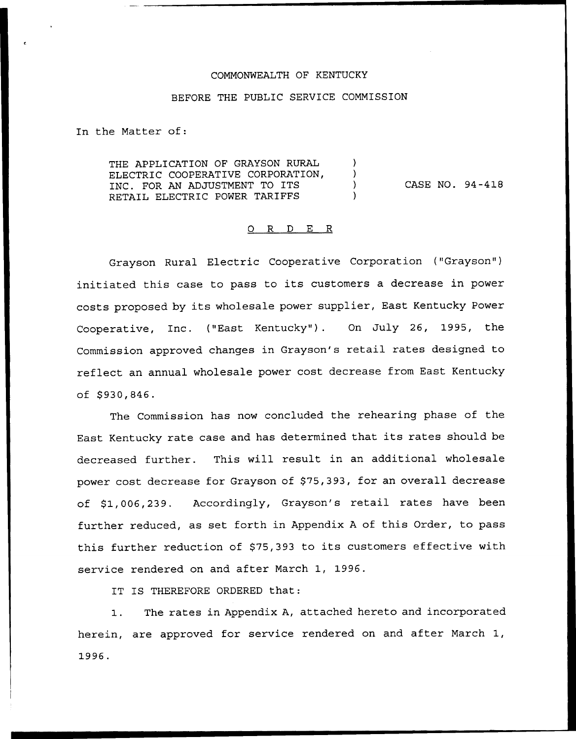#### COMMONWEALTH OF KENTUCKY

#### BEFORE THE PUBLIC SERVICE COMMISSION

In the Matter of:

THE APPLICATION OF GRAYSON RURAL ELECTRIC COOPERATIVE CORPORATION, INC. FOR AN ADJUSTMENT TO ITS RETAIL ELECTRIC POWER TARIFFS

CASE NO. 94-418

#### 0 R <sup>D</sup> E R

Grayson Rural Electric Cooperative Corporation ("Grayson" ) initiated this case to pass to its customers <sup>a</sup> decrease in power costs proposed by its wholesale power supplier, East Kentucky Power Cooperative, Inc. ("East Kentucky"). On July 26, 1995, the Commission approved changes in Grayson's retail rates designed to reflect an annual wholesale power cost decrease from East Kentucky of \$ 930,846.

The Commission has now concluded the rehearing phase of the East Kentucky rate case and has determined that its rates should be decreased further. This will result in an additional wholesale power cost decrease for Grayson of \$75,393, for an overall decrease of \$1,006,239. Accordingly, Grayson's retail rates have been further reduced, as set forth in Appendix <sup>A</sup> of this Order, to pass this further reduction of \$75,393 to its customers effective with service rendered on and after March 1, 1996.

IT IS THEREFORE ORDERED that:

The rates in Appendix A, attached hereto and incorporated  $1.$ herein, are approved for service rendered on and after March 1,1996.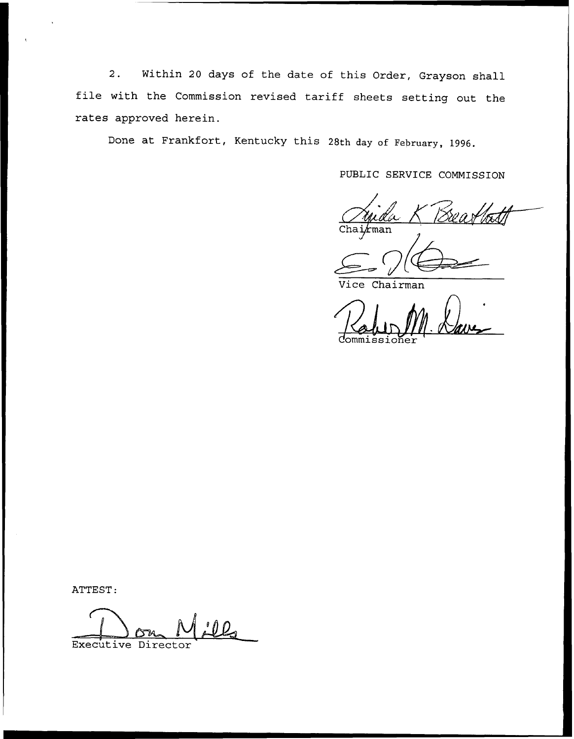2. Within <sup>20</sup> days of the date of this Order, Grayson shall file with the Commission revised tariff sheets setting out the rates approved herein.

Done at Frankfort, Kentucky this 28th day of February, 1996.

PUBLIC SERVICE COMMISSION

*k*man

ce Chairman

Commissio

ATTEST:

Executive Director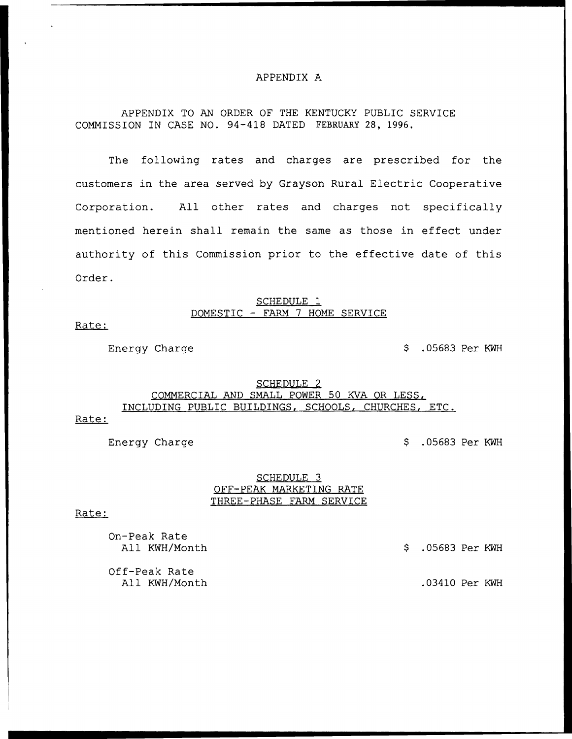## APPENDIX A

# APPENDIX TO AN ORDER OF THE KENTUCKY PUBLIC SERVICE COMMISSION IN CASE NO. 94-418 DATED FEBRUARY 28, 1996,

The following rates and charges are prescribed for the customers in the area served by Grayson Rural Electric Cooperative Corporation. All other rates and charges not specifically mentioned herein shall remain the same as those in effect under authority of this Commission prior to the effective date of this Order.

## SCHEDULE 1 DOMESTIC — FARM 7 HOME SERVICE

Rate:

Energy Charge  $\sim$  5 .05683 Per KWH

# SCHEDULE 2 COMMERCIAL AND SMALL POWER 50 KVA OR LESS, INCLUDING PUBLIC BUILDINGS, SCHOOLS, CHURCHES, ETC.

Rate:

Energy Charge  $\sim$  5 .05683 Per KWH

## SCHEDULE 3 OFF-PEAK MARKETING RATE THREE-PHASE FARM SERVICE

#### Rate:

On-Peak Rate All KWH/Month .05683 Per KWH

Off-Peak Rate All KWH/Month .03410 Per KWH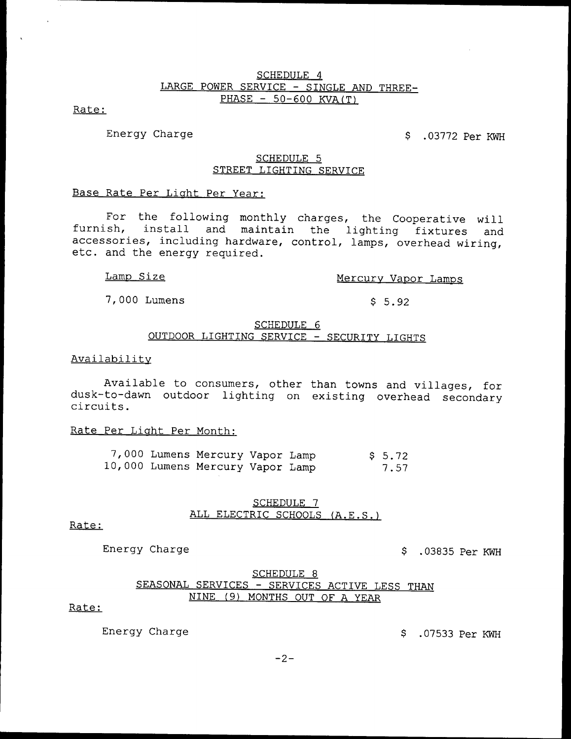## SCHEDULE 4 LARGE POWER SERVICE — SINGLE AND THREE- $PHASE$  – 50-600 KVA(T)

Rate:

Energy Charge .03772 Per KWH

## SCHEDULE 5 STREET LIGHTING SERVICE

# Base Rate Per Liaht Per Year:

For the following monthly charges, the Cooperative will furnish, install and maintain the lighting fixtures and accessories, including hardware, control, lamps, overhead wiring, etc. and the energy required.

# Lamp Size Mercury Vapor Lamps

7,000 Lumens 5.92

## SCHEDULE 6 OUTDOOR LIGHTING SERVICE — SECURITY LIGHTS

## Availabilitv

Available to consumers, other than towns and villages, for dusk-to-dawn outdoor lighting on existing overhead secondary circuits.

## Rate Per Liaht Per Month:

|  | 7,000 Lumens Mercury Vapor Lamp  |  | \$5.72 |
|--|----------------------------------|--|--------|
|  | 10,000 Lumens Mercury Vapor Lamp |  | 7.57   |

## SCHEDULE 7 ALL ELECTRIC SCHOOLS (A.E.S.)

## Rate:

Energy Charge ... The Super Charge ... The Super Charge ... In the Super Charge Super RWH

## SCHEDULE 8 SEASONAL SERVICES — SERVICES ACTIVE LESS THAN NINE (9) MONTHS OUT OF A YEAR

# Rate:

Energy Charge  $\beta$  .07533 Per KWH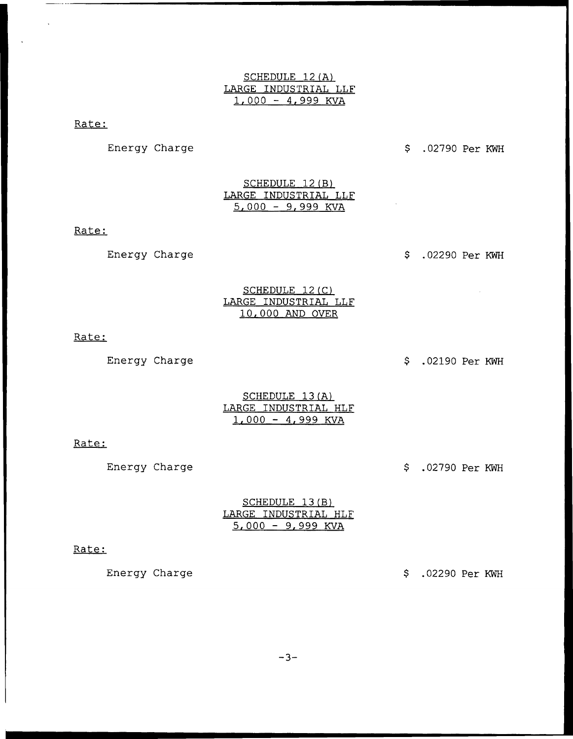# SCHEDULE 12(A) LARGE INDUSTRIAL LLF 1,000 — 4,999 KVA

## Rate:

Energy Charge .02790 Per KWH

SCHEDULE 12 (B) LARGE INDUSTRIAL LLF  $5,000 - 9,999$  KVA

## Rate:

Energy Charge .02290 Per KWH

## SCHEDULE 12(C) LARGE INDUSTRIAL LLF 10,000 AND OVER

Rate:

Energy Charge .02190 Per KWH

## SCHEDULE 13 (A) LARGE INDUSTRIAL HLF  $1,000 - 4,999$  KVA

#### Rate:

Energy Charge .02790 Per KWH

|                      | SCHEDULE 13(B)      |  |
|----------------------|---------------------|--|
| LARGE INDUSTRIAL HLF |                     |  |
|                      | $5.000 - 9.999$ KVA |  |

#### Rate:

Energy Charge .02290 Per KWH